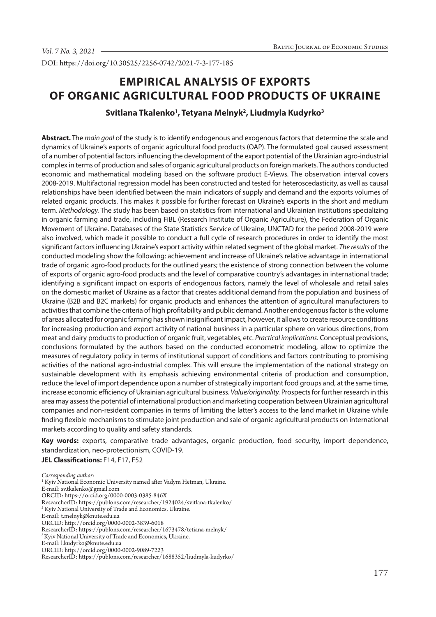DOI: https://doi.org/10.30525/2256-0742/2021-7-3-177-185

# **EMPIRICAL ANALYSIS OF EXPORTS OF ORGANIC AGRICULTURAL FOOD PRODUCTS OF UKRAINE**

**Svitlana Tkalenko1 , Tetyana Melnyk2 , Liudmyla Kudyrko3**

**Abstract.** The *main goal* of the study is to identify endogenous and exogenous factors that determine the scale and dynamics of Ukraine's exports of organic agricultural food products (OAP). The formulated goal caused assessment of a number of potential factors influencing the development of the export potential of the Ukrainian agro-industrial complex in terms of production and sales of organic agricultural products on foreign markets. The authors conducted economic and mathematical modeling based on the software product E-Views. The observation interval covers 2008-2019. Multifactorial regression model has been constructed and tested for heteroscedasticity, as well as causal relationships have been identified between the main indicators of supply and demand and the exports volumes of related organic products. This makes it possible for further forecast on Ukraine's exports in the short and medium term. *Methodology.* The study has been based on statistics from international and Ukrainian institutions specializing in organic farming and trade, including FiBL (Research Institute of Organic Agriculture), the Federation of Organic Movement of Ukraine. Databases of the State Statistics Service of Ukraine, UNCTAD for the period 2008-2019 were also involved, which made it possible to conduct a full cycle of research procedures in order to identify the most significant factors influencing Ukraine's export activity within related segment of the global market. *The results* of the conducted modeling show the following: achievement and increase of Ukraine's relative advantage in international trade of organic agro-food products for the outlined years; the existence of strong connection between the volume of exports of organic agro-food products and the level of comparative country's advantages in international trade; identifying a significant impact on exports of endogenous factors, namely the level of wholesale and retail sales on the domestic market of Ukraine as a factor that creates additional demand from the population and business of Ukraine (B2B and B2C markets) for organic products and enhances the attention of agricultural manufacturers to activities that combine the criteria of high profitability and public demand. Another endogenous factor is the volume of areas allocated for organic farming has shown insignificant impact, however, it allows to create resource conditions for increasing production and export activity of national business in a particular sphere on various directions, from meat and dairy products to production of organic fruit, vegetables, etc. *Practical implications.* Conceptual provisions, conclusions formulated by the authors based on the conducted econometric modeling, allow to optimize the measures of regulatory policy in terms of institutional support of conditions and factors contributing to promising activities of the national agro-industrial complex. This will ensure the implementation of the national strategy on sustainable development with its emphasis achieving environmental criteria of production and consumption, reduce the level of import dependence upon a number of strategically important food groups and, at the same time, increase economic efficiency of Ukrainian agricultural business. *Value/originality.* Prospects for further research in this area may assess the potential of international production and marketing cooperation between Ukrainian agricultural companies and non-resident companies in terms of limiting the latter's access to the land market in Ukraine while finding flexible mechanisms to stimulate joint production and sale of organic agricultural products on international markets according to quality and safety standards.

**Key words:** exports, comparative trade advantages, organic production, food security, import dependence, standardization, neo-protectionism, COVID-19.

**JEL Classifications:** F14, F17, F52

*Corresponding author:*

E-mail: sv.tkalenko@gmail.com

<sup>&</sup>lt;sup>1</sup> Kyiv National Economic University named after Vadym Hetman, Ukraine.

ORCID: https://orcid.org/0000-0003-0385-846X

 $\textbf{Researcher} \textbf{ID: https://publons.com/researcher/1924024/svitlana-tkalenko/}$ 

<sup>2</sup> Kyiv National University of Trade and Economics, Ukraine.

E-mail: t.melnyk@knute.edu.ua

ORCID: http://orcid.org/0000-0002-3839-6018

ResearcherID: https://publons.com/researcher/1673478/tetiana-melnyk/

<sup>&</sup>lt;sup>3</sup> Kyiv National University of Trade and Economics, Ukraine.

E-mail: l.kudyrko@knute.edu.ua

ORCID: http://orcid.org/0000-0002-9089-7223

ResearcherID: https://publons.com/researcher/1688352/liudmyla-kudyrko/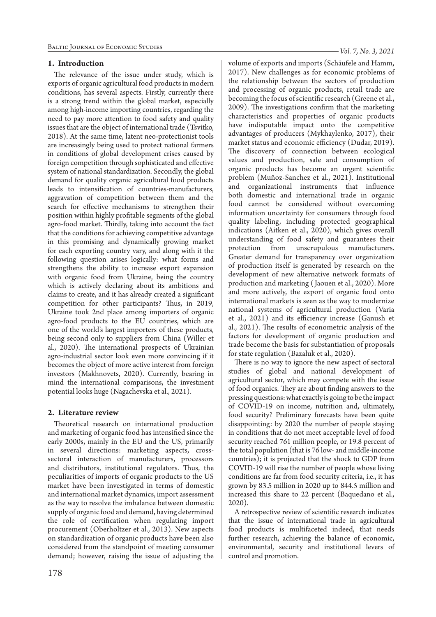## **1. Introduction**

The relevance of the issue under study, which is exports of organic agricultural food products in modern conditions, has several aspects. Firstly, currently there is a strong trend within the global market, especially among high-income importing countries, regarding the need to pay more attention to food safety and quality issues that are the object of international trade (Tsvitko, 2018). At the same time, latent neo-protectionist tools are increasingly being used to protect national farmers in conditions of global development crises caused by foreign competition through sophisticated and effective system of national standardization. Secondly, the global demand for quality organic agricultural food products leads to intensification of countries-manufacturers, aggravation of competition between them and the search for effective mechanisms to strengthen their position within highly profitable segments of the global agro-food market. Thirdly, taking into account the fact that the conditions for achieving competitive advantage in this promising and dynamically growing market for each exporting country vary, and along with it the following question arises logically: what forms and strengthens the ability to increase export expansion with organic food from Ukraine, being the country which is actively declaring about its ambitions and claims to create, and it has already created a significant competition for other participants? Thus, in 2019, Ukraine took 2nd place among importers of organic agro-food products to the EU countries, which are one of the world's largest importers of these products, being second only to suppliers from China (Willer et al., 2020). The international prospects of Ukrainian agro-industrial sector look even more convincing if it becomes the object of more active interest from foreign investors (Makhnovets, 2020). Currently, bearing in mind the international comparisons, the investment potential looks huge (Nagachevska et al., 2021).

# **2. Literature review**

Theoretical research on international production and marketing of organic food has intensified since the early 2000s, mainly in the EU and the US, primarily in several directions: marketing aspects, crosssectoral interaction of manufacturers, processors and distributors, institutional regulators. Thus, the peculiarities of imports of organic products to the US market have been investigated in terms of domestic and international market dynamics, import assessment as the way to resolve the imbalance between domestic supply of organic food and demand, having determined the role of certification when regulating import procurement (Oberholtzer et al., 2013). New aspects on standardization of organic products have been also considered from the standpoint of meeting consumer demand; however, raising the issue of adjusting the

volume of exports and imports (Schäufele and Hamm, 2017). New challenges as for economic problems of the relationship between the sectors of production and processing of organic products, retail trade are becoming the focus of scientific research (Greene et al., 2009). The investigations confirm that the marketing characteristics and properties of organic products have indisputable impact onto the competitive advantages of producers (Mykhaylenko, 2017), their market status and economic efficiency (Dudar, 2019). The discovery of connection between ecological values and production, sale and consumption of organic products has become an urgent scientific problem (Muñoz-Sanchez et al., 2021). Institutional and organizational instruments that influence both domestic and international trade in organic food cannot be considered without overcoming information uncertainty for consumers through food quality labeling, including protected geographical indications (Aitken et al., 2020), which gives overall understanding of food safety and guarantees their protection from unscrupulous manufacturers. Greater demand for transparency over organization of production itself is generated by research on the development of new alternative network formats of production and marketing ( Jaouen et al., 2020). More and more actively, the export of organic food onto international markets is seen as the way to modernize national systems of agricultural production (Varia et al., 2021) and its efficiency increase (Ganush et al., 2021). The results of econometric analysis of the factors for development of organic production and trade become the basis for substantiation of proposals for state regulation (Bazaluk et al., 2020).

There is no way to ignore the new aspect of sectoral studies of global and national development of agricultural sector, which may compete with the issue of food organics. They are about finding answers to the pressing questions: what exactly is going to be the impact of COVID-19 on income, nutrition and, ultimately, food security? Preliminary forecasts have been quite disappointing: by 2020 the number of people staying in conditions that do not meet acceptable level of food security reached 761 million people, or 19.8 percent of the total population (that is 76 low- and middle-income countries); it is projected that the shock to GDP from COVID-19 will rise the number of people whose living conditions are far from food security criteria, i.e., it has grown by 83.5 million in 2020 up to 844.5 million and increased this share to 22 percent (Baquedano et al., 2020).

A retrospective review of scientific research indicates that the issue of international trade in agricultural food products is multifaceted indeed, that needs further research, achieving the balance of economic, environmental, security and institutional levers of control and promotion.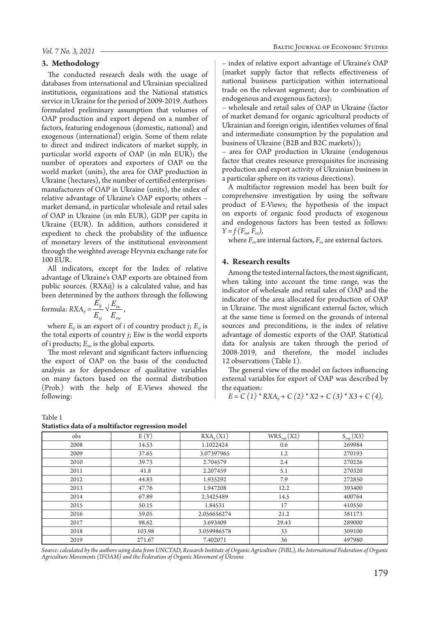#### **3. Methodology**

The conducted research deals with the usage of databases from international and Ukrainian specialized institutions, organizations and the National statistics service in Ukraine for the period of 2009-2019. Authors formulated preliminary assumption that volumes of OAP production and export depend on a number of factors, featuring endogenous (domestic, national) and exogenous (international) origin. Some of them relate to direct and indirect indicators of market supply, in particular world exports of OAP (in mln EUR); the number of operators and exporters of OAP on the world market (units), the area for OAP production in Ukraine (hectares), the number of certified enterprisesmanufacturers of OAP in Ukraine (units), the index of relative advantage of Ukraine's OAP exports; others – market demand, in particular wholesale and retail sales of OAP in Ukraine (in mln EUR), GDP per capita in Ukraine (EUR). In addition, authors considered it expedient to check the probability of the influence of monetary levers of the institutional environment through the weighted average Hryvnia exchange rate for 100 EUR.

All indicators, except for the Index of relative advantage of Ukraine's OAP exports are obtained from public sources. (RXAij) is a calculated value, and has been determined by the authors through the following

formula: 
$$
RXA_{ij} = \frac{E'_{ij}}{E_{sj}} \sqrt{\frac{E_{iw}}{E_{sw}}}
$$
,

where  $E_{ii}$  is an export of *i* of country product *j*;  $E_{si}$  is the total exports of country *j*; Eiw is the world exports of i products; *Esw* is the global exports.

The most relevant and significant factors influencing the export of OAP on the basis of the conducted analysis as for dependence of qualitative variables on many factors based on the normal distribution (Prob.) with the help of E-Views showed the following:

Table 1

#### **Statistics data of a multifactor regression model**

– index of relative export advantage of Ukraine's OAP (market supply factor that reflects effectiveness of national business participation within international trade on the relevant segment; due to combination of endogenous and exogenous factors);

– wholesale and retail sales of OAP in Ukraine (factor of market demand for organic agricultural products of Ukrainian and foreign origin, identifies volumes of final and intermediate consumption by the population and business of Ukraine (B2B and B2C markets));

– area for OAP production in Ukraine (endogenous factor that creates resource prerequisites for increasing production and export activity of Ukrainian business in a particular sphere on its various directions).

A multifactor regression model has been built for comprehensive investigation by using the software product of E-Views; the hypothesis of the impact on exports of organic food products of exogenous and endogenous factors has been tested as follows:  $Y = f(F_{\text{en}}, F_{\text{ex}})$ ,

where  $F_{en}$  are internal factors,  $F_{ex}$  are external factors.

## **4. Research results**

Among the tested internal factors, the most significant, when taking into account the time range, was the indicator of wholesale and retail sales of OAP and the indicator of the area allocated for production of OAP in Ukraine. The most significant external factor, which at the same time is formed on the grounds of internal sources and preconditions, is the index of relative advantage of domestic exports of the OAP. Statistical data for analysis are taken through the period of 2008-2019, and therefore, the model includes 12 observations (Table 1).

The general view of the model on factors influencing external variables for export of OAP was described by the equation:

$$
E = C (1) * R X A_{ij} + C (2) * X2 + C (3) * X3 + C (4),
$$

| statistics data of a multifactor regression model |        |                              |                        |                      |  |
|---------------------------------------------------|--------|------------------------------|------------------------|----------------------|--|
| obs                                               | E(Y)   | $\text{RXA}_{ii}(\text{X1})$ | $WRS_{\text{oap}}(X2)$ | $S_{\text{oap}}(X3)$ |  |
| 2008                                              | 14.53  | 1.1022424                    | 0.6                    | 269984               |  |
| 2009                                              | 37.65  | 3.07397965                   | 1.2                    | 270193               |  |
| 2010                                              | 39.73  | 2.704579                     | 2.4                    | 270226               |  |
| 2011                                              | 41.8   | 2.207459                     | 5.1                    | 270320               |  |
| 2012                                              | 44.83  | 1.935292                     | 7.9                    | 272850               |  |
| 2013                                              | 47.76  | 1.947208                     | 12.2                   | 393400               |  |
| 2014                                              | 67.89  | 2.3425489                    | 14.5                   | 400764               |  |
| 2015                                              | 50.15  | 1.84531                      | 17                     | 410550               |  |
| 2016                                              | 59.05  | 2.056656274                  | 21.2                   | 381173               |  |
| 2017                                              | 98.62  | 3.693409                     | 29.43                  | 289000               |  |
| 2018                                              | 103.98 | 3.059986578                  | 33                     | 309100               |  |
| 2019                                              | 271.67 | 7.402071                     | 36                     | 497980               |  |

Source: calculated by the authors using data from UNCTAD, Research Institute of Organic Agriculture (FiBL), the International Federation of Organic *Agriculture Movements (IFOAM) and the Federation of Organic Movement of Ukraine*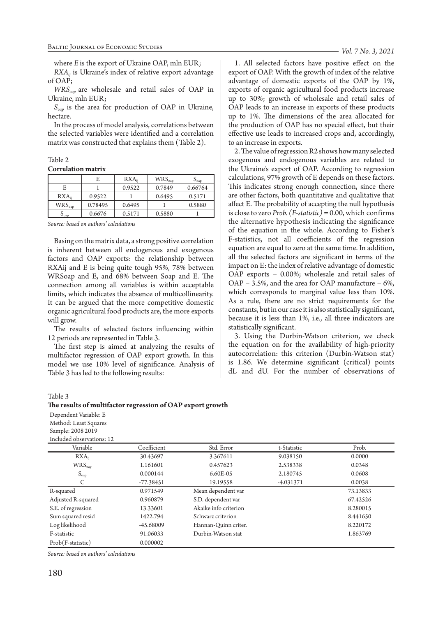where *E* is the export of Ukraine OAP, mln EUR;

*RXA<sub>ij</sub>* is Ukraine's index of relative export advantage of OAP;

*WRS<sub>oap</sub>* are wholesale and retail sales of OAP in Ukraine, mln EUR;

*Soap* is the area for production of OAP in Ukraine, hectare.

In the process of model analysis, correlations between the selected variables were identified and a correlation matrix was constructed that explains them (Table 2).

## Table 2

#### **Correlation matrix**

|                            |         | $\mathbf{R} \mathbf{X} \mathbf{A}_{ii}$ | $WRS_{\text{oap}}$ | $\upsilon_{\text{oap}}$ |
|----------------------------|---------|-----------------------------------------|--------------------|-------------------------|
| E                          |         | 0.9522                                  | 0.7849             | 0.66764                 |
| $\mathsf{RXA}_{ii}$        | 0.9522  |                                         | 0.6495             | 0.5171                  |
| $WRS_{\text{oap}}$         | 0.78495 | 0.6495                                  |                    | 0.5880                  |
| $\mathcal{O}_{\text{OAD}}$ | 0.6676  | 0.5171                                  | 0.5880             |                         |

*Source: based on authors' calculations*

Basing on the matrix data, a strong positive correlation is inherent between all endogenous and exogenous factors and OAP exports: the relationship between RXAij and E is being quite tough 95%, 78% between WRSoap and E, and 68% between Soap and E. The connection among all variables is within acceptable limits, which indicates the absence of multicollinearity. It can be argued that the more competitive domestic organic agricultural food products are, the more exports will grow.

The results of selected factors influencing within 12 periods are represented in Table 3.

The first step is aimed at analyzing the results of multifactor regression of OAP export growth. In this model we use 10% level of significance. Analysis of Table 3 has led to the following results:

1. All selected factors have positive effect on the export of OAP. With the growth of index of the relative advantage of domestic exports of the OAP by 1%, exports of organic agricultural food products increase up to 30%; growth of wholesale and retail sales of OAP leads to an increase in exports of these products up to 1%. The dimensions of the area allocated for the production of OAP has no special effect, but their effective use leads to increased crops and, accordingly, to an increase in exports.

2. The value of regression R2 shows how many selected exogenous and endogenous variables are related to the Ukraine's export of OAP. According to regression calculations, 97% growth of E depends on these factors. This indicates strong enough connection, since there are other factors, both quantitative and qualitative that affect E. The probability of accepting the null hypothesis is close to zero *Prob. (F-statistic)* = 0.00, which confirms the alternative hypothesis indicating the significance of the equation in the whole. According to Fisher's F-statistics, not all coefficients of the regression equation are equal to zero at the same time. In addition, all the selected factors are significant in terms of the impact on E: the index of relative advantage of domestic OAP exports – 0.00%; wholesale and retail sales of OAP – 3.5%, and the area for OAP manufacture – 6%, which corresponds to marginal value less than 10%. As a rule, there are no strict requirements for the constants, but in our case it is also statistically significant, because it is less than 1%, i.e., all three indicators are statistically significant.

3. Using the Durbin-Watson criterion, we check the equation on for the availability of high-priority autocorrelation: this criterion (Durbin-Watson stat) is 1.86. We determine significant (critical) points dL and dU. For the number of observations of

## Table 3

#### **The results of multifactor regression of OAP export growth**

Dependent Variable: Е Method: Least Squares Sample: 2008 2019

| Included observations: 12 |             |                       |             |          |
|---------------------------|-------------|-----------------------|-------------|----------|
| Variable                  | Coefficient | Std. Error            | t-Statistic | Prob.    |
| $\mathsf{RXA}_{ii}$       | 30.43697    | 3.367611              | 9.038150    | 0.0000   |
| $WRS_{\text{oap}}$        | 1.161601    | 0.457623              | 2.538338    | 0.0348   |
| $S_{\text{oap}}$          | 0.000144    | 6.60E-05              | 2.180745    | 0.0608   |
|                           | $-77.38451$ | 19.19558              | $-4.031371$ | 0.0038   |
| R-squared                 | 0.971549    | Mean dependent var    |             | 73.13833 |
| Adjusted R-squared        | 0.960879    | S.D. dependent var    |             | 67.42526 |
| S.E. of regression        | 13.33601    | Akaike info criterion |             | 8.280015 |
| Sum squared resid         | 1422.794    | Schwarz criterion     |             | 8.441650 |
| Log likelihood            | -45.68009   | Hannan-Quinn criter.  |             | 8.220172 |
| F-statistic               | 91.06033    | Durbin-Watson stat    |             | 1.863769 |
| Prob(F-statistic)         | 0.000002    |                       |             |          |

*Source: based on authors' calculations*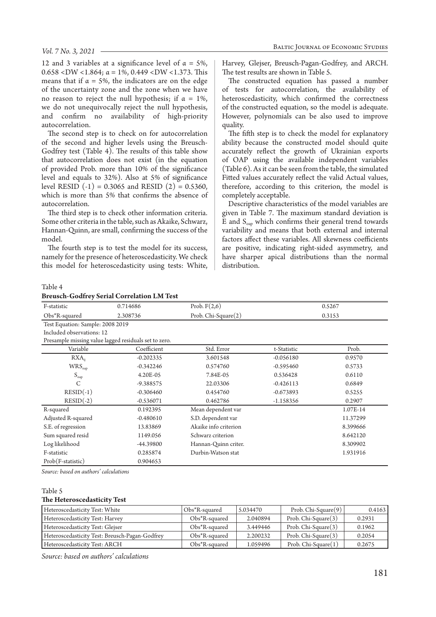12 and 3 variables at a significance level of  $\alpha = 5\%$ , 0.658 <DW <1.864; α = 1%, 0.449 <DW <1.373. This means that if  $\alpha = 5\%$ , the indicators are on the edge of the uncertainty zone and the zone when we have no reason to reject the null hypothesis; if  $\alpha = 1\%$ , we do not unequivocally reject the null hypothesis, and confirm no availability of high-priority autocorrelation.

The second step is to check on for autocorrelation of the second and higher levels using the Breusch-Godfrey test (Table 4). The results of this table show that autocorrelation does not exist (in the equation of provided Prob. more than 10% of the significance level and equals to 32%). Also at 5% of significance level RESID  $(-1) = 0.3065$  and RESID  $(2) = 0.5360$ , which is more than 5% that confirms the absence of autocorrelation.

The third step is to check other information criteria. Some other criteria in the table, such as Akaike, Schwarz, Hannan-Quinn, are small, confirming the success of the model.

The fourth step is to test the model for its success, namely for the presence of heteroscedasticity. We check this model for heteroscedasticity using tests: White, Harvey, Glejser, Breusch-Pagan-Godfrey, and ARCH. The test results are shown in Table 5.

The constructed equation has passed a number of tests for autocorrelation, the availability of heteroscedasticity, which confirmed the correctness of the constructed equation, so the model is adequate. However, polynomials can be also used to improve quality.

The fifth step is to check the model for explanatory ability because the constructed model should quite accurately reflect the growth of Ukrainian exports of OAP using the available independent variables (Table 6). As it can be seen from the table, the simulated Fitted values accurately reflect the valid Actual values, therefore, according to this criterion, the model is completely acceptable.

Descriptive characteristics of the model variables are given in Table 7. The maximum standard deviation is E and  $S<sub>con</sub>$  which confirms their general trend towards variability and means that both external and internal factors affect these variables. All skewness coefficients are positive, indicating right-sided asymmetry, and have sharper apical distributions than the normal distribution.

Table 4

| <b>Breusch-Godfrey Serial Correlation LM Test</b> |  |  |  |
|---------------------------------------------------|--|--|--|
|---------------------------------------------------|--|--|--|

| Dicustif Gouilty other contention line rest           |             |                        |             |          |
|-------------------------------------------------------|-------------|------------------------|-------------|----------|
| F-statistic                                           | 0.714686    | Prob. $F(2,6)$         |             | 0.5267   |
| Obs*R-squared                                         | 2.308736    | Prob. Chi-Square $(2)$ |             | 0.3153   |
| Test Equation: Sample: 2008 2019                      |             |                        |             |          |
| Included observations: 12                             |             |                        |             |          |
| Presample missing value lagged residuals set to zero. |             |                        |             |          |
| Variable                                              | Coefficient | Std. Error             | t-Statistic | Prob.    |
| $\mathsf{RXA}_{ii}$                                   | $-0.202335$ | 3.601548               | $-0.056180$ | 0.9570   |
| $WRS_{\text{oap}}$                                    | $-0.342246$ | 0.574760               | $-0.595460$ | 0.5733   |
| $S_{\text{oap}}$                                      | 4.20E-05    | 7.84E-05               | 0.536428    | 0.6110   |
| $\mathsf{C}$                                          | $-9.388575$ | 22.03306               | $-0.426113$ | 0.6849   |
| $RESID(-1)$                                           | $-0.306460$ | 0.454760               | $-0.673893$ | 0.5255   |
| $RESID(-2)$                                           | $-0.536071$ | 0.462786               | $-1.158356$ | 0.2907   |
| R-squared                                             | 0.192395    | Mean dependent var     |             | 1.07E-14 |
| Adjusted R-squared                                    | $-0.480610$ | S.D. dependent var     |             | 11.37299 |
| S.E. of regression                                    | 13.83869    | Akaike info criterion  |             | 8.399666 |
| Sum squared resid                                     | 1149.056    | Schwarz criterion      |             | 8.642120 |
| Log likelihood                                        | -44.39800   | Hannan-Quinn criter.   |             | 8.309902 |
| F-statistic                                           | 0.285874    | Durbin-Watson stat     |             | 1.931916 |
| Prob(F-statistic)                                     | 0.904653    |                        |             |          |

*Source: based on authors' calculations*

# Table 5

## **The Heteroscedasticity Test**

| Heteroscedasticity Test: White                 | Obs*R-squared     | 5.034470 | Prob. Chi-Square $(9)$ | 0.4163 |
|------------------------------------------------|-------------------|----------|------------------------|--------|
| Heteroscedasticity Test: Harvey                | $Obs*R-squared$   | 2.040894 | Prob. Chi-Square(3)    | 0.2931 |
| Heteroscedasticity Test: Glejser               | $Obs^*R$ -squared | 3.449446 | Prob. Chi-Square(3)    | 0.1962 |
| Heteroscedasticity Test: Breusch-Pagan-Godfrey | $Obs*R$ -squared  | 2.200232 | Prob. Chi-Square(3)    | 0.2054 |
| Heteroscedasticity Test: ARCH                  | Obs*R-squared     | 1.059496 | Prob. Chi-Square(1)    | 0.2675 |

*Source: based on authors' calculations*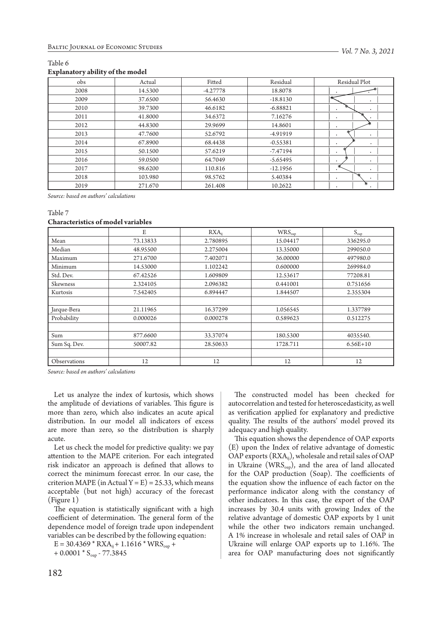#### Table 6 **Explanatory ability of the model**

| $\epsilon$<br>$\epsilon$ |         |            |            |                                          |
|--------------------------|---------|------------|------------|------------------------------------------|
| obs                      | Actual  | Fitted     | Residual   | Residual Plot                            |
| 2008                     | 14.5300 | $-4.27778$ | 18.8078    |                                          |
| 2009                     | 37.6500 | 56.4630    | $-18.8130$ | $\cdot$                                  |
| 2010                     | 39.7300 | 46.6182    | $-6.88821$ | $\bullet$<br>$\cdot$                     |
| 2011                     | 41.8000 | 34.6372    | 7.16276    | $\bullet$                                |
| 2012                     | 44.8300 | 29.9699    | 14.8601    |                                          |
| 2013                     | 47.7600 | 52.6792    | -4.91919   | $\bullet$<br>$\bullet$                   |
| 2014                     | 67.8900 | 68.4438    | $-0.55381$ | $\bullet$<br>$\bullet$                   |
| 2015                     | 50.1500 | 57.6219    | $-7.47194$ | $\bullet$<br>$\cdot$                     |
| 2016                     | 59.0500 | 64.7049    | $-5.65495$ | $\bullet$<br>$\bullet$                   |
| 2017                     | 98.6200 | 110.816    | $-12.1956$ | $\blacksquare$<br>$\cdot$                |
| 2018                     | 103.980 | 98.5762    | 5.40384    | $\bullet$<br>$\bullet$                   |
| 2019                     | 271.670 | 261.408    | 10.2622    | ∗<br>$\cdot$<br>$\overline{\phantom{a}}$ |

*Source: based on authors' calculations*

### Table 7

## **Characteristics of model variables**

|              | E        | $RXA_{ii}$ | $WRS_{\text{oap}}$ | $S_{\text{oap}}$ |
|--------------|----------|------------|--------------------|------------------|
| Mean         | 73.13833 | 2.780895   | 15.04417           | 336295.0         |
| Median       | 48.95500 | 2.275004   | 13.35000           | 299050.0         |
| Maximum      | 271.6700 | 7.402071   | 36.00000           | 497980.0         |
| Minimum      | 14.53000 | 1.102242   | 0.600000           | 269984.0         |
| Std. Dev.    | 67.42526 | 1.609809   | 12.53617           | 77208.81         |
| Skewness     | 2.324105 | 2.096382   | 0.441001           | 0.751656         |
| Kurtosis     | 7.542405 | 6.894447   | 1.844507           | 2.355304         |
|              |          |            |                    |                  |
| Jarque-Bera  | 21.11965 | 16.37299   | 1.056545           | 1.337789         |
| Probability  | 0.000026 | 0.000278   | 0.589623           | 0.512275         |
|              |          |            |                    |                  |
| Sum          | 877.6600 | 33.37074   | 180.5300           | 4035540.         |
| Sum Sq. Dev. | 50007.82 | 28.50633   | 1728.711           | $6.56E+10$       |
|              |          |            |                    |                  |
| Observations | 12       | 12         | 12                 | 12               |

*Source: based on authors' calculations*

Let us analyze the index of kurtosis, which shows the amplitude of deviations of variables. This figure is more than zero, which also indicates an acute apical distribution. In our model all indicators of excess are more than zero, so the distribution is sharply acute.

Let us check the model for predictive quality: we pay attention to the MAPE criterion. For each integrated risk indicator an approach is defined that allows to correct the minimum forecast error. In our case, the criterion MAPE (in Actual Y = E) = 25.33, which means acceptable (but not high) accuracy of the forecast (Figure 1)

The equation is statistically significant with a high coefficient of determination. The general form of the dependence model of foreign trade upon independent variables can be described by the following equation:

 $E = 30.4369 * RXA_{ij} + 1.1616 * WRS_{oap} +$  $+ 0.0001 * S<sub>oap</sub> - 77.3845$ 

The constructed model has been checked for autocorrelation and tested for heteroscedasticity, as well as verification applied for explanatory and predictive quality. The results of the authors' model proved its adequacy and high quality.

This equation shows the dependence of OAP exports (E) upon the Index of relative advantage of domestic OAP exports  $(RXA_{ij})$ , wholesale and retail sales of OAP in Ukraine ( $WRS<sub>oap</sub>$ ), and the area of land allocated for the OAP production (Soap). The coefficients of the equation show the influence of each factor on the performance indicator along with the constancy of other indicators. In this case, the export of the OAP increases by 30.4 units with growing Index of the relative advantage of domestic OAP exports by 1 unit while the other two indicators remain unchanged. A 1% increase in wholesale and retail sales of OAP in Ukraine will enlarge OAP exports up to 1.16%. The area for OAP manufacturing does not significantly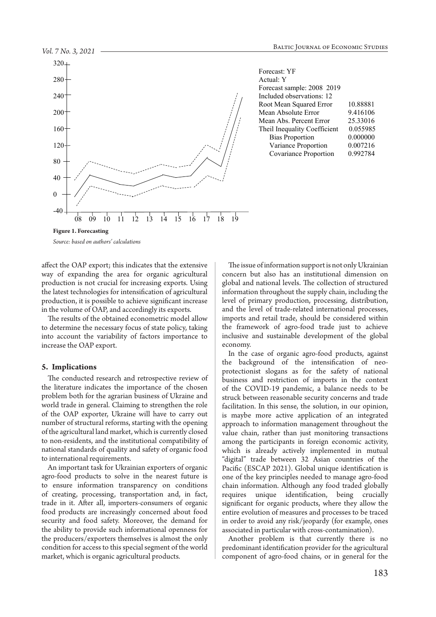

Forecast: YF Forecast sample: 2008 2019 Root Mean Squared Error 10.88881 Mean Abs. Percent Error 25.33016 Bias Proportion 0.000000 Covariance Proportion 0.992784

*Source: based on authors' calculations*

affect the OAP export; this indicates that the extensive way of expanding the area for organic agricultural production is not crucial for increasing exports. Using the latest technologies for intensification of agricultural production, it is possible to achieve significant increase in the volume of OAP, and accordingly its exports.

The results of the obtained econometric model allow to determine the necessary focus of state policy, taking into account the variability of factors importance to increase the OAP export.

#### **5. Implications**

The conducted research and retrospective review of the literature indicates the importance of the chosen problem both for the agrarian business of Ukraine and world trade in general. Claiming to strengthen the role of the OAP exporter, Ukraine will have to carry out number of structural reforms, starting with the opening of the agricultural land market, which is currently closed to non-residents, and the institutional compatibility of national standards of quality and safety of organic food to international requirements.

An important task for Ukrainian exporters of organic agro-food products to solve in the nearest future is to ensure information transparency on conditions of creating, processing, transportation and, in fact, trade in it. After all, importers-consumers of organic food products are increasingly concerned about food security and food safety. Moreover, the demand for the ability to provide such informational openness for the producers/exporters themselves is almost the only condition for access to this special segment of the world market, which is organic agricultural products.

The issue of information support is not only Ukrainian concern but also has an institutional dimension on global and national levels. The collection of structured information throughout the supply chain, including the level of primary production, processing, distribution, and the level of trade-related international processes, imports and retail trade, should be considered within the framework of agro-food trade just to achieve inclusive and sustainable development of the global economy.

In the case of organic agro-food products, against the background of the intensification of neoprotectionist slogans as for the safety of national business and restriction of imports in the context of the COVID-19 pandemic, a balance needs to be struck between reasonable security concerns and trade facilitation. In this sense, the solution, in our opinion, is maybe more active application of an integrated approach to information management throughout the value chain, rather than just monitoring transactions among the participants in foreign economic activity, which is already actively implemented in mutual "digital" trade between 32 Asian countries of the Pacific (ESCAP 2021). Global unique identification is one of the key principles needed to manage agro-food chain information. Although any food traded globally requires unique identification, being crucially significant for organic products, where they allow the entire evolution of measures and processes to be traced in order to avoid any risk/jeopardy (for example, ones associated in particular with cross-contamination).

Another problem is that currently there is no predominant identification provider for the agricultural component of agro-food chains, or in general for the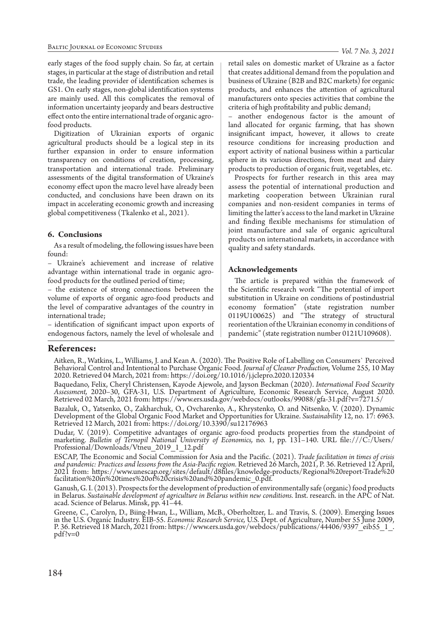early stages of the food supply chain. So far, at certain stages, in particular at the stage of distribution and retail trade, the leading provider of identification schemes is GS1. On early stages, non-global identification systems are mainly used. All this complicates the removal of information uncertainty jeopardy and bears destructive effect onto the entire international trade of organic agrofood products.

Digitization of Ukrainian exports of organic agricultural products should be a logical step in its further expansion in order to ensure information transparency on conditions of creation, processing, transportation and international trade. Preliminary assessments of the digital transformation of Ukraine's economy effect upon the macro level have already been conducted, and conclusions have been drawn on its impact in accelerating economic growth and increasing global competitiveness (Tkalenko et al., 2021).

## **6. Conclusions**

As a result of modeling, the following issues have been found:

– Ukraine's achievement and increase of relative advantage within international trade in organic agrofood products for the outlined period of time;

– the existence of strong connections between the volume of exports of organic agro-food products and the level of comparative advantages of the country in international trade;

– identification of significant impact upon exports of endogenous factors, namely the level of wholesale and retail sales on domestic market of Ukraine as a factor that creates additional demand from the population and business of Ukraine (B2B and B2C markets) for organic products, and enhances the attention of agricultural manufacturers onto species activities that combine the criteria of high profitability and public demand;

– another endogenous factor is the amount of land allocated for organic farming, that has shown insignificant impact, however, it allows to create resource conditions for increasing production and export activity of national business within a particular sphere in its various directions, from meat and dairy products to production of organic fruit, vegetables, etc.

Prospects for further research in this area may assess the potential of international production and marketing cooperation between Ukrainian rural companies and non-resident companies in terms of limiting the latter's access to the land market in Ukraine and finding flexible mechanisms for stimulation of joint manufacture and sale of organic agricultural products on international markets, in accordance with quality and safety standards.

## **Acknowledgements**

The article is prepared within the framework of the Scientific research work "The potential of import substitution in Ukraine on conditions of postindustrial economy formation" (state registration number 0119U100625) and "The strategy of structural reorientation of the Ukrainian economy in conditions of pandemic" (state registration number 0121U109608).

# **References:**

Aitken, R., Watkins, L., Williams, J. and Kean A. (2020). The Positive Role of Labelling on Consumers` Perceived Behavioral Control and Intentional to Purchase Organic Food. *Journal of Cleaner Production,* Volume 255, 10 May 2020. Retrieved 04 March, 2021 from: https://doi.org/10.1016/j.jclepro.2020.120334

Baquedano, Felix, Cheryl Christensen, Kayode Ajewole, and Jayson Beckman (2020). *International Food Security*  Retrieved 02 March, 2021 from: https://www.ers.usda.gov/webdocs/outlooks/99088/gfa-31.pdf?v=7271.5/

Bazaluk, O., Yatsenko, O., Zakharchuk, O., Ovcharenko, A., Khrystenko, O. and Nitsenko, V. (2020). Dynamic Development of the Global Organic Food Market and Opportunities for Ukraine. *Sustainability* 12, no. 17: 6963. Retrieved 12 March, 2021 from: https://doi.org/10.3390/su12176963

Dudar, V. (2019). Competitive advantages of organic agro-food products properties from the standpoint of marketing. *Bulletin of Ternopil National University of Economics,* no. 1, pp. 131–140. URL file:///C:/Users/ Professional/Downloads/Vtneu\_2019\_1\_12.pdf

ESCAP, The Economic and Social Commission for Asia and the Pacific. (2021). Trade facilitation in times of crisis and pandemic: Practices and lessons from the Asia-Pacific region. Retrieved 26 March, 2021, P. 36. Retrieved facilitation%20in%20times%20of%20crisis%20and%20pandemic\_0.pdf.

Ganush, G. I. (2013). Prospects for the development of production of environmentally safe (organic) food products in Belarus. *Sustainable development of agriculture in Belarus within new conditions.* Inst. research. in the APC of Nat. acad. Science of Belarus. Minsk, pp. 41–44.

Greene, C., Carolyn, D., Biing-Hwan, L., William, McB., Oberholtzer, L. and Travis, S. (2009). Emerging Issues<br>in the U.S. Organic Industry. EIB-55. *Economic Research Service*, U.S. Dept. of Agriculture, Number 55 June 20 P. 36. Retrieved 18 March, 2021 from: https://www.ers.usda.gov/webdocs/publications/44406/9397<sup>-</sup>eib55\_1\_. pdf?v=0